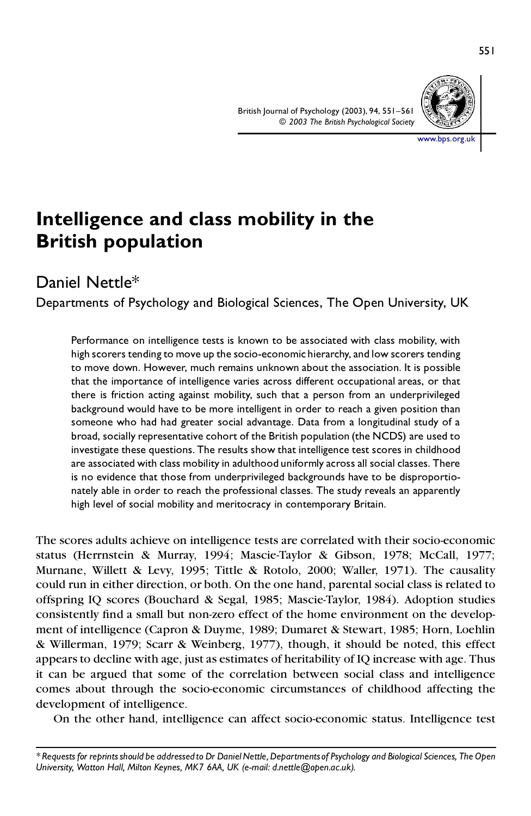

ww.bps.org.uk

# **Intelligence and class mobility in the British population**

# Daniel Nettle\*

Departments of Psychology and Biological Sciences, The Open University, UK

Performance on intelligence tests is known to be associated with class mobility, with high scorers tending to move up the socio-economic hierarchy, and low scorers tending to move down. However, much remains unknown about the association. It is possible that the importance of intelligence varies across different occupational areas, or that there is friction acting against mobility, such that a person from an underprivileged background would have to be more intelligent in order to reach a given position than someone who had had greater social advantage. Data from a longitudinal study of a broad, socially representative cohort of the British population (the NCDS) are used to investigate these questions. The results show that intelligence test scores in childhood are associated with class mobility in adulthood uniformly across all social classes. There is no evidence that those from underprivileged backgrounds have to be disproportionately able in order to reach the professional classes. The study reveals an apparently high level of social mobility and meritocracy in contemporary Britain.

The scores adults achieve on intelligence tests are correlated with their socio-economic status (Herrnstein & Murray, 1994; Mascie-Taylor & Gibson, 1978; McCall, 1977; Murnane, Willett & Levy, 1995; Tittle & Rotolo, 2000; Waller, 1971). The causality could run in either direction, or both. On the one hand, parental social class is related to offspring IQ scores (Bouchard & Segal, 1985; Mascie-Taylor, 1984). Adoption studies consistently find a small but non-zero effect of the home environment on the development of intelligence (Capron & Duyme, 1989; Dumaret & Stewart, 1985; Horn, Loehlin & Willerman, 1979; Scarr & Weinberg, 1977), though, it should be noted, this effect appears to decline with age, just as estimates of heritability of IQ increase with age. Thus it can be argued that some of the correlation between social class and intelligence comes about through the socio-economic circumstances of childhood affecting the development of intelligence.

On the other hand, intelligence can affect socio-economic status. Intelligence test

\* Requests for reprints should be addressed to Dr Daniel Nettle, Departments of Psychology and Biological Sciences, The Open *University, Watton Hall, Milton Keynes, MK7 6AA, UK (e-mail: d.nettle@open.ac.uk).*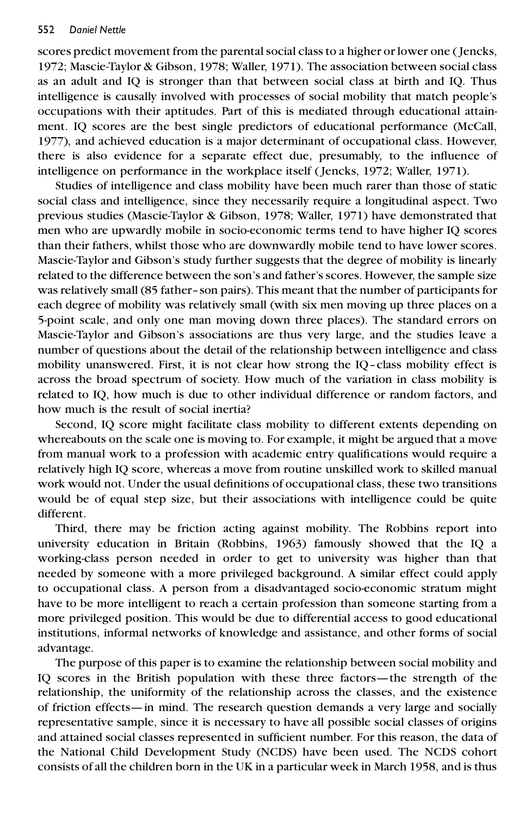scores predict movement from the parentalsocial class to a higher or lower one ( Jencks, 1972; Mascie-Taylor & Gibson, 1978; Waller, 1971). The association between social class as an adult and IQ is stronger than that between social class at birth and IQ. Thus intelligence is causally involved with processes of social mobility that match people's occupations with their aptitudes. Part of this is mediated through educational attainment. IQ scores are the best single predictors of educational performance (McCall, 1977), and achieved education is a major determinant of occupational class. However, there is also evidence for a separate effect due, presumably, to the influence of intelligence on performance in the workplace itself ( Jencks, 1972; Waller, 1971).

Studies of intelligence and class mobility have been much rarer than those of static social class and intelligence, since they necessarily require a longitudinal aspect. Two previous studies (Mascie-Taylor & Gibson, 1978; Waller, 1971) have demonstrated that men who are upwardly mobile in socio-economic terms tend to have higher IQ scores than their fathers, whilst those who are downwardly mobile tend to have lower scores. Mascie-Taylor and Gibson's study further suggests that the degree of mobility is linearly related to the difference between the son's and father'sscores. However, the sample size was relatively small (85 father-son pairs). This meant that the number of participants for each degree of mobility was relatively small (with six men moving up three places on a 5-point scale, and only one man moving down three places). The standard errors on Mascie-Taylor and Gibson's associations are thus very large, and the studies leave a number of questions about the detail of the relationship between intelligence and class mobility unanswered. First, it is not clear how strong the IQ-class mobility effect is across the broad spectrum of society. How much of the variation in class mobility is related to IQ, how much is due to other individual difference or random factors, and how much is the result of social inertia?

Second, IQ score might facilitate class mobility to different extents depending on whereabouts on the scale one is moving to. For example, it might be argued that a move from manual work to a profession with academic entry qualifications would require a relatively high IQ score, whereas a move from routine unskilled work to skilled manual work would not. Under the usual definitions of occupational class, these two transitions would be of equal step size, but their associations with intelligence could be quite different.

Third, there may be friction acting against mobility. The Robbins report into university education in Britain (Robbins, 1963) famously showed that the IQ a working-class person needed in order to get to university was higher than that needed by someone with a more privileged background. A similar effect could apply to occupational class. A person from a disadvantaged socio-economic stratum might have to be more intelligent to reach a certain profession than someone starting from a more privileged position. This would be due to differential access to good educational institutions, informal networks of knowledge and assistance, and other forms of social advantage.

The purpose of this paper is to examine the relationship between social mobility and IQ scores in the British population with these three factors—the strength of the relationship, the uniformity of the relationship across the classes, and the existence of friction effects—in mind. The research question demands a very large and socially representative sample, since it is necessary to have all possible social classes of origins and attained social classes represented in sufficient number. For this reason, the data of the National Child Development Study (NCDS) have been used. The NCDS cohort consists of all the children born in the UK in a particular week in March 1958, and is thus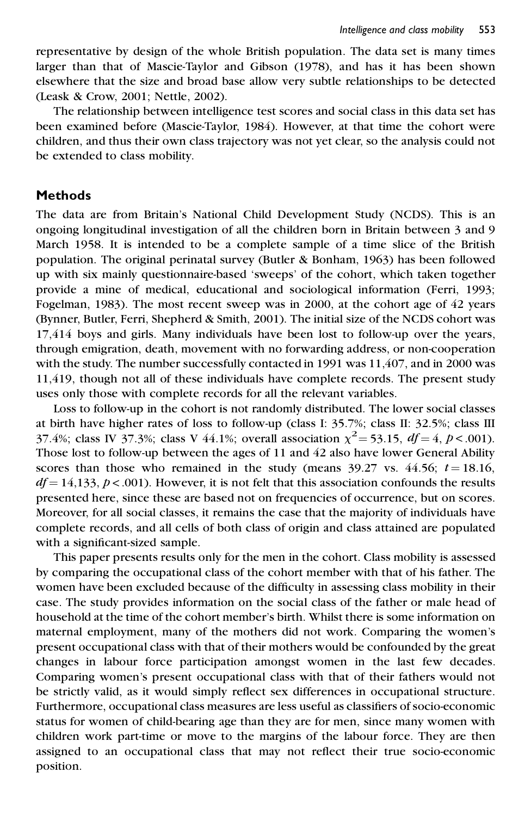representative by design of the whole British population. The data set is many times larger than that of Mascie-Taylor and Gibson (1978), and has it has been shown elsewhere that the size and broad base allow very subtle relationships to be detected (Leask & Crow, 2001; Nettle, 2002).

The relationship between intelligence test scores and social class in this data set has been examined before (Mascie-Taylor, 1984). However, at that time the cohort were children, and thus their own class trajectory was not yet clear, so the analysis could not be extended to class mobility.

### **Methods**

The data are from Britain's National Child Development Study (NCDS). This is an ongoing longitudinal investigation of all the children born in Britain between 3 and 9 March 1958. It is intended to be a complete sample of a time slice of the British population. The original perinatal survey (Butler & Bonham, 1963) has been followed up with six mainly questionnaire-based `sweeps' of the cohort, which taken together provide a mine of medical, educational and sociological information (Ferri, 1993; Fogelman, 1983). The most recent sweep was in 2000, at the cohort age of 42 years (Bynner, Butler, Ferri, Shepherd & Smith, 2001). The initial size of the NCDS cohort was 17,414 boys and girls. Many individuals have been lost to follow-up over the years, through emigration, death, movement with no forwarding address, or non-cooperation with the study. The number successfully contacted in 1991 was 11,407, and in 2000 was 11,419, though not all of these individuals have complete records. The present study uses only those with complete records for all the relevant variables.

Loss to follow-up in the cohort is not randomly distributed. The lower social classes at birth have higher rates of loss to follow-up (class I: 35.7%; class II: 32.5%; class III 37.4%; class IV 37.3%; class V 44.1%; overall association  $\chi^2$  = 53.15, *df* = 4, *p* < .001). Those lost to follow-up between the ages of 11 and 42 also have lower General Ability scores than those who remained in the study (means  $39.27$  vs.  $44.56$ ;  $t = 18.16$ ,  $df = 14,133, p < .001$ ). However, it is not felt that this association confounds the results presented here, since these are based not on frequencies of occurrence, but on scores. Moreover, for all social classes, it remains the case that the majority of individuals have complete records, and all cells of both class of origin and class attained are populated with a significant-sized sample.

This paper presents results only for the men in the cohort. Class mobility is assessed by comparing the occupational class of the cohort member with that of his father. The women have been excluded because of the difficulty in assessing class mobility in their case. The study provides information on the social class of the father or male head of household at the time of the cohort member's birth. Whilst there is some information on maternal employment, many of the mothers did not work. Comparing the women's present occupational class with that of their mothers would be confounded by the great changes in labour force participation amongst women in the last few decades. Comparing women's present occupational class with that of their fathers would not be strictly valid, as it would simply reflect sex differences in occupational structure. Furthermore, occupational class measures are less useful as classifiers of socio-economic status for women of child-bearing age than they are for men, since many women with children work part-time or move to the margins of the labour force. They are then assigned to an occupational class that may not reflect their true socio-economic position.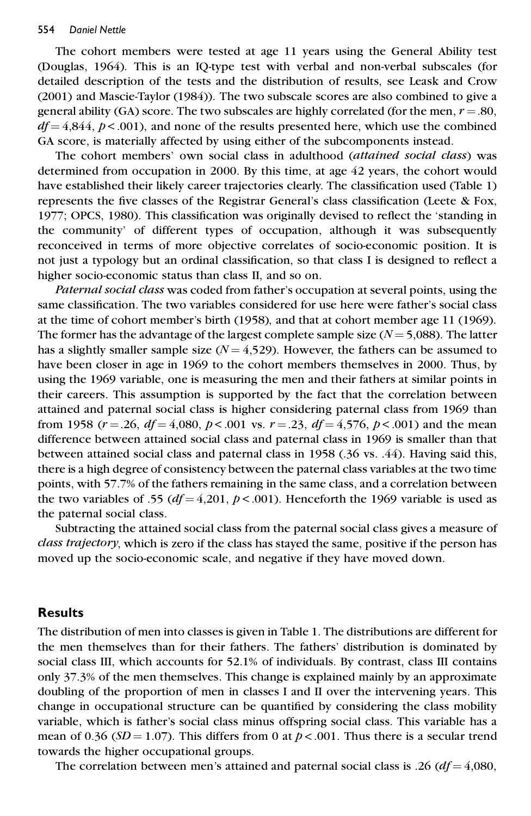#### 554 *Daniel Nettle*

The cohort members were tested at age 11 years using the General Ability test (Douglas, 1964). This is an IQ-type test with verbal and non-verbal subscales (for detailed description of the tests and the distribution of results, see Leask and Crow (2001) and Mascie-Taylor (1984)). The two subscale scores are also combined to give a general ability (GA) score. The two subscales are highly correlated (for the men,  $r = .80$ ,  $df = 4.844$ ,  $p < .001$ ), and none of the results presented here, which use the combined GA score, is materially affected by using either of the subcomponents instead.

The cohort members' own social class in adulthood (*attained social class*) was determined from occupation in 2000. By this time, at age 42 years, the cohort would have established their likely career trajectories clearly. The classification used (Table 1) represents the five classes of the Registrar General's class classification (Leete  $\&$  Fox, 1977; OPCS, 1980). This classification was originally devised to reflect the 'standing in the community' of different types of occupation, although it was subsequently reconceived in terms of more objective correlates of socio-economic position. It is not just a typology but an ordinal classification, so that class I is designed to reflect a higher socio-economic status than class II, and so on.

*Paternal social class* was coded from father's occupation at several points, using the same classification. The two variables considered for use here were father's social class at the time of cohort member's birth (1958), and that at cohort member age 11 (1969). The former has the advantage of the largest complete sample size  $(N = 5,088)$ . The latter has a slightly smaller sample size  $(N = 4.529)$ . However, the fathers can be assumed to have been closer in age in 1969 to the cohort members themselves in 2000. Thus, by using the 1969 variable, one is measuring the men and their fathers at similar points in their careers. This assumption is supported by the fact that the correlation between attained and paternal social class is higher considering paternal class from 1969 than from 1958 ( $r = .26$ ,  $df = 4,080$ ,  $p < .001$  vs.  $r = .23$ ,  $df = 4,576$ ,  $p < .001$ ) and the mean difference between attained social class and paternal class in 1969 is smaller than that between attained social class and paternal class in 1958 (.36 vs. .44). Having said this, there is a high degree of consistency between the paternal class variables at the two time points, with 57.7% of the fathers remaining in the same class, and a correlation between the two variables of .55 ( $df = 4,201, p < .001$ ). Henceforth the 1969 variable is used as the paternal social class.

Subtracting the attained social class from the paternal social class gives a measure of *class trajectory*, which is zero if the class has stayed the same, positive if the person has moved up the socio-economic scale, and negative if they have moved down.

#### **Results**

The distribution of men into classes is given in Table 1. The distributions are different for the men themselves than for their fathers. The fathers' distribution is dominated by social class III, which accounts for  $52.1\%$  of individuals. By contrast, class III contains only 37.3% of the men themselves. This change is explained mainly by an approximate doubling of the proportion of men in classes I and II over the intervening years. This change in occupational structure can be quantified by considering the class mobility variable, which is father's social class minus offspring social class. This variable has a mean of 0.36 ( $SD = 1.07$ ). This differs from 0 at  $p < .001$ . Thus there is a secular trend towards the higher occupational groups.

The correlation between men's attained and paternal social class is .26  $(df = 4,080,$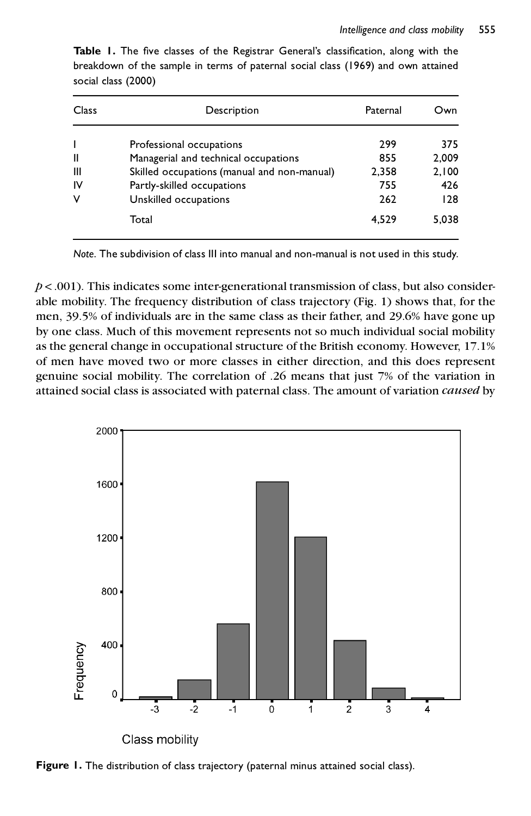| Class          | Description                                 | Paternal | Own   |  |
|----------------|---------------------------------------------|----------|-------|--|
|                | Professional occupations                    | 299      | 375   |  |
| Ш              | Managerial and technical occupations        | 855      | 2.009 |  |
| $\mathbf{III}$ | Skilled occupations (manual and non-manual) | 2,358    | 2,100 |  |
| ΙV             | Partly-skilled occupations                  | 755      | 426   |  |
| v              | Unskilled occupations                       | 262      | 128   |  |
|                | Total                                       | 4.529    | 5.038 |  |

**Table 1.** The five classes of the Registrar General's classification, along with the breakdown of the sample in terms of paternal social class (1969) and own attained social class (2000)

*Note*. The subdivision of class III into manual and non-manual is not used in this study.

 $p$  < .001). This indicates some inter-generational transmission of class, but also considerable mobility. The frequency distribution of class trajectory (Fig. 1) shows that, for the men, 39.5% of individuals are in the same class as their father, and 29.6% have gone up by one class. Much of this movement represents not so much individual social mobility as the general change in occupational structure of the British economy. However, 17.1% of men have moved two or more classes in either direction, and this does represent genuine social mobility. The correlation of .26 means that just 7% of the variation in attained social class is associated with paternal class. The amount of variation *caused* by



**Figure 1.** The distribution of class trajectory (paternal minus attained social class).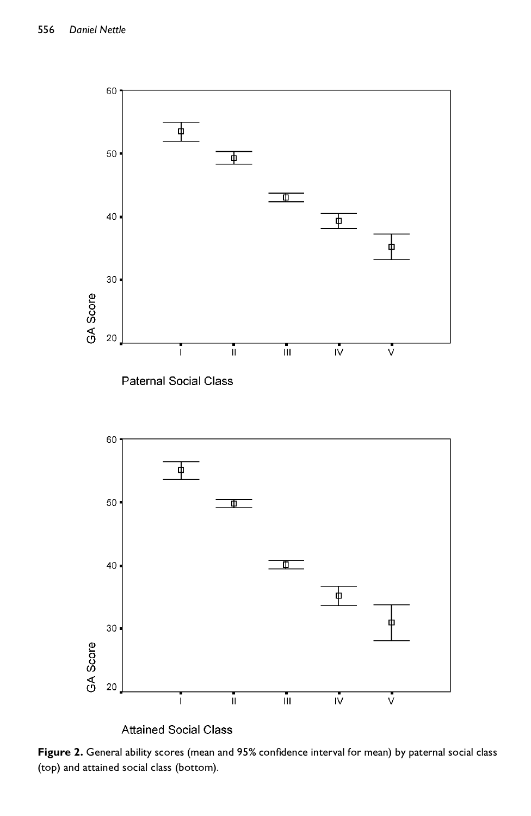

Figure 2. General ability scores (mean and 95% confidence interval for mean) by paternal social class (top) and attained social class (bottom).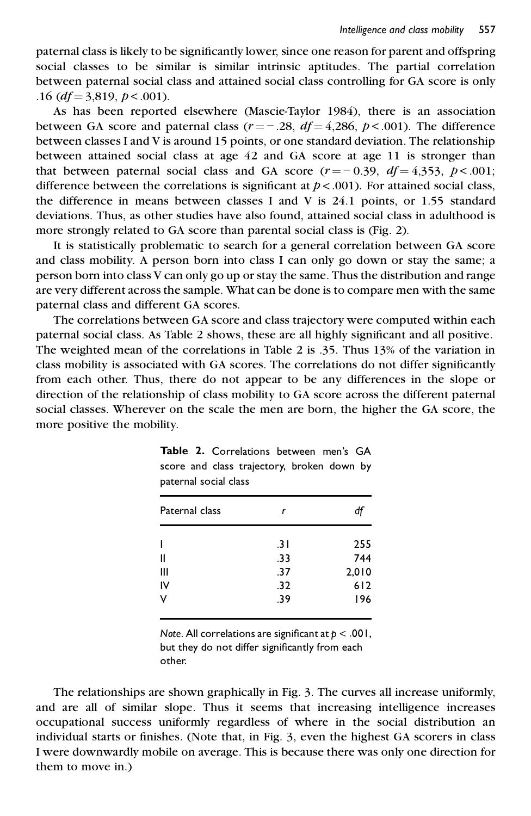paternal class is likely to be significantly lower, since one reason for parent and offspring social classes to be similar is similar intrinsic aptitudes. The partial correlation between paternal social class and attained social class controlling for GA score is only .16 (*df* = 3,819, *p* < .001).

As has been reported elsewhere (Mascie-Taylor 1984), there is an association between GA score and paternal class  $(r = -.28, df = 4,286, p < .001)$ . The difference between GR score and paternal class  $\sqrt{2} = 2.26$ ,  $\sqrt{2} = 1,266$ ,  $P \sqrt{361}$ . The directive between classes I and V is around 15 points, or one standard deviation. The relationship between attained social class at age 42 and GA score at age 11 is stronger than that between paternal social class and GA score  $(r = -0.39, df = 4.353, p < .001$ ;<br>difference between the correlations is cignificant at  $p \ge 0.01$ . For attained social class difference between the correlations is significant at  $p < .001$ ). For attained social class, the difference in means between classes I and V is 24.1 points, or 1.55 standard deviations. Thus, as other studies have also found, attained social class in adulthood is more strongly related to GA score than parental social class is (Fig. 2).

It is statistically problematic to search for a general correlation between GA score and class mobility. A person born into class I can only go down or stay the same; a person born into class V can only go up or stay the same. Thus the distribution and range are very different across the sample. What can be done is to compare men with the same paternal class and different GA scores.

The correlations between GA score and class trajectory were computed within each paternal social class. As Table 2 shows, these are all highly significant and all positive. The weighted mean of the correlations in Table 2 is .35. Thus 13% ofthe variation in class mobility is associated with GA scores. The correlations do not differ significantly from each other. Thus, there do not appear to be any differences in the slope or direction of the relationship of class mobility to GA score across the different paternal social classes. Wherever on the scale the men are born, the higher the GA score, the more positive the mobility.

| Paternal class | r   | đt    |
|----------------|-----|-------|
|                | .31 | 255   |
| Ш              | .33 | 744   |
| Ш              | .37 | 2,010 |
| I٧             | .32 | 612   |
| v              | .39 | 196   |

|                       |  |  | <b>Table 2.</b> Correlations between men's GA |  |  |  |  |  |  |
|-----------------------|--|--|-----------------------------------------------|--|--|--|--|--|--|
|                       |  |  | score and class trajectory, broken down by    |  |  |  |  |  |  |
| paternal social class |  |  |                                               |  |  |  |  |  |  |

*Note.* All correlations are significant at  $p < .001$ , but they do not differ significantly from each other.

The relationships are shown graphically in Fig. 3. The curves all increase uniformly, and are all of similar slope. Thus it seems that increasing intelligence increases occupational success uniformly regardless of where in the social distribution an individual starts or finishes. (Note that, in Fig. 3, even the highest GA scorers in class I were downwardly mobile on average. This is because there was only one direction for them to move in.)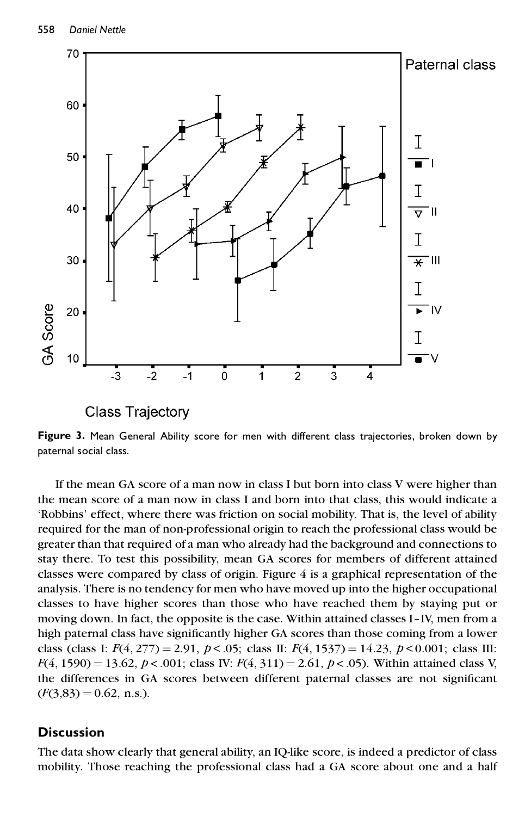

**Class Trajectory** 

**Figure 3.** Mean General Ability score for men with different class trajectories, broken down by paternal social class.

If the mean GA score of a man now in class I but born into class V were higher than the mean score of a man now in class I and born into that class, this would indicate a `Robbins' effect, where there was friction on social mobility. That is, the level of ability required for the man of non-professional origin to reach the professional class would be greater than that required of a man who already had the background and connections to stay there. To test this possibility, mean GA scores for members of different attained classes were compared by class of origin. Figure 4 is a graphical representation of the analysis. There is no tendency for men who have moved up into the higher occupational classes to have higher scores than those who have reached them by staying put or moving down. In fact, the opposite is the case. Within attained classes I-IV, men from a high paternal class have significantly higher GA scores than those coming from a lower class (class I: *F*(4, 277) = 2.91, *p* < .05; class II: *F*(4, 1537) = 14.23, *p* < 0.001; class III: *F*(4, 1590) = 13.62, *p* < .001; class IV: *F*(4, 311) = 2.61, *p* < .05). Within attained class V, the differences in GA scores between different paternal classes are not significant  $(F(3,83) = 0.62, n.s.).$ 

## **Discussion**

The data show clearly that general ability, an IQ-like score, is indeed a predictor of class mobility. Those reaching the professional class had a GA score about one and a half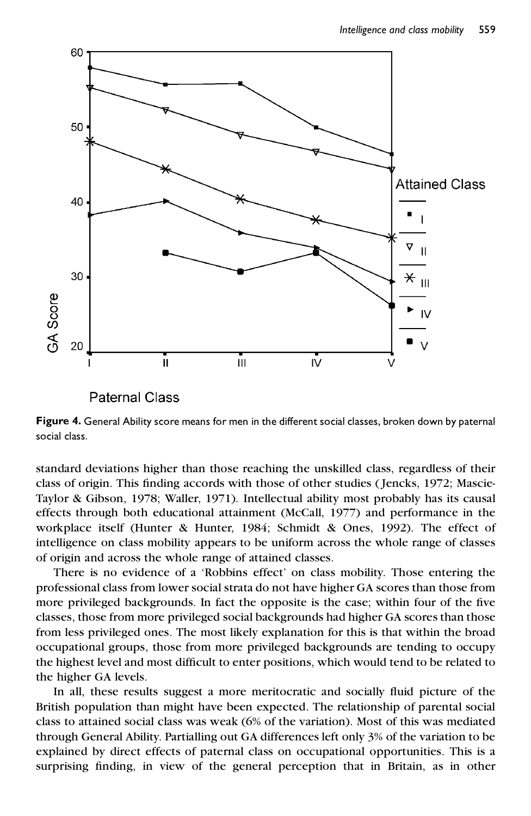

**Paternal Class** 

**Figure 4.** General Ability score means for men in the different social classes, broken down by paternal social class.

standard deviations higher than those reaching the unskilled class, regardless of their class of origin. This finding accords with those of other studies (Jencks, 1972; Mascie-Taylor & Gibson, 1978; Waller, 1971). Intellectual ability most probably has its causal effects through both educational attainment (McCall, 1977) and performance in the workplace itself (Hunter & Hunter, 1984; Schmidt & Ones, 1992). The effect of intelligence on class mobility appears to be uniform across the whole range of classes of origin and across the whole range of attained classes.

There is no evidence of a 'Robbins effect' on class mobility. Those entering the professional class from lower social strata do not have higher GA scores than those from more privileged backgrounds. In fact the opposite is the case; within four of the five classes, those from more privileged social backgrounds had higher GA scores than those from less privileged ones. The most likely explanation for this is that within the broad occupational groups, those from more privileged backgrounds are tending to occupy the highest level and most difficult to enter positions, which would tend to be related to the higher GA levels.

In all, these results suggest a more meritocratic and socially fluid picture of the British population than might have been expected. The relationship of parental social class to attained social class was weak (6% of the variation). Most of this was mediated through General Ability. Partialling out GA differences left only 3% of the variation to be explained by direct effects of paternal class on occupational opportunities. This is a surprising finding, in view of the general perception that in Britain, as in other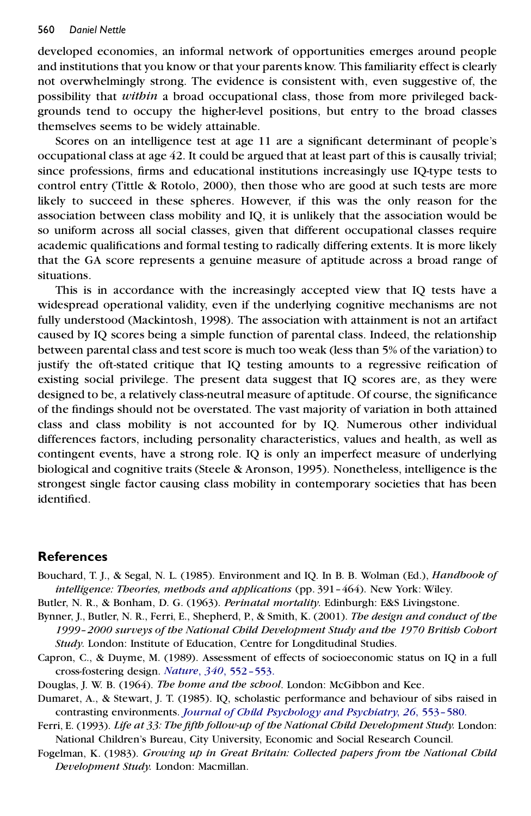developed economies, an informal network of opportunities emerges around people and institutions that you know or that your parents know. This familiarity effect is clearly not overwhelmingly strong. The evidence is consistent with, even suggestive of, the possibility that *within* a broad occupational class, those from more privileged backgrounds tend to occupy the higher-level positions, but entry to the broad classes themselves seems to be widely attainable.

Scores on an intelligence test at age 11 are a significant determinant of people's occupational class at age 42. It could be argued that at least part of this is causally trivial; since professions, firms and educational institutions increasingly use IQ-type tests to control entry (Tittle & Rotolo, 2000), then those who are good at such tests are more likely to succeed in these spheres. However, if this was the only reason for the association between class mobility and IQ, it is unlikely that the association would be so uniform across all social classes, given that different occupational classes require academic qualifications and formal testing to radically differing extents. It is more likely that the GA score represents a genuine measure of aptitude across a broad range of situations.

This is in accordance with the increasingly accepted view that IQ tests have a widespread operational validity, even if the underlying cognitive mechanisms are not fully understood (Mackintosh, 1998). The association with attainment is not an artifact caused by IQ scores being a simple function of parental class. Indeed, the relationship between parental class and test score is much too weak (less than 5% of the variation) to justify the oft-stated critique that IQ testing amounts to a regressive reification of existing social privilege. The present data suggest that IQ scores are, as they were designed to be, a relatively class-neutral measure of aptitude. Of course, the significance of the findings should not be overstated. The vast majority of variation in both attained class and class mobility is not accounted for by IQ. Numerous other individual differences factors, including personality characteristics, values and health, as well as contingent events, have a strong role. IQ is only an imperfect measure of underlying biological and cognitive traits (Steele & Aronson, 1995). Nonetheless, intelligence is the strongest single factor causing class mobility in contemporary societies that has been identified.

#### **References**

- Bouchard, T. J., & Segal, N. L. (1985). Environment and IQ. In B. B. Wolman (Ed.), *Handbook of intelligence: Theories, methods and applications* (pp. 391-464). New York: Wiley.
- Butler, N. R., & Bonham, D. G. (1963). *Perinatal mortality*. Edinburgh: E&S Livingstone.
- Bynner, J., Butler, N. R., Ferri, E., Shepherd, P., & Smith, K. (2001). *The design and conduct of the 1999±2000 surveys of the National Child Development Study and the 1970 British Cohort Study*. London: Institute of Education, Centre for Longditudinal Studies.
- Capron, C., & Duyme, M. (1989). Assessment of effects of socioeconomic status on IQ in a full cross-fostering design. *Nature*, *340*, [552±553.](http://taddeo.ingentaselect.com/nw=1/rpsv/cgi-bin/linker?ext=a&reqidx=/0028-0836^28^29340L.552[aid=5335855])
- Douglas, J. W. B. (1964). *The home and the school*. London: McGibbon and Kee.
- Dumaret, A., & Stewart, J. T. (1985). IQ, scholastic performance and behaviour of sibs raised in contrasting environments. *Journal of Child [Psychology](http://taddeo.ingentaselect.com/nw=1/rpsv/cgi-bin/linker?ext=a&reqidx=/0021-9630^28^2926L.553[aid=5335856]) and Psychiatry*, *26*, 553±580.
- Ferri, E. (1993). *Life at 33: The ®fth follow-up of the National Child Development Study.* London: National Children's Bureau, City University, Economic and Social Research Council.
- Fogelman, K. (1983). *Growing up in Great Britain: Collected papers from the National Child Development Study.* London: Macmillan.